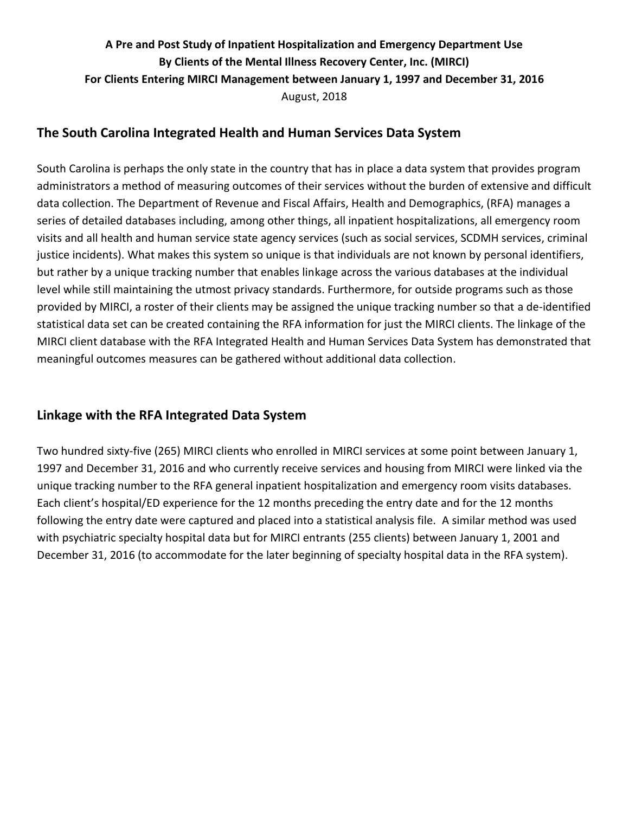# **A Pre and Post Study of Inpatient Hospitalization and Emergency Department Use By Clients of the Mental Illness Recovery Center, Inc. (MIRCI) For Clients Entering MIRCI Management between January 1, 1997 and December 31, 2016** August, 2018

### **The South Carolina Integrated Health and Human Services Data System**

South Carolina is perhaps the only state in the country that has in place a data system that provides program administrators a method of measuring outcomes of their services without the burden of extensive and difficult data collection. The Department of Revenue and Fiscal Affairs, Health and Demographics, (RFA) manages a series of detailed databases including, among other things, all inpatient hospitalizations, all emergency room visits and all health and human service state agency services (such as social services, SCDMH services, criminal justice incidents). What makes this system so unique is that individuals are not known by personal identifiers, but rather by a unique tracking number that enables linkage across the various databases at the individual level while still maintaining the utmost privacy standards. Furthermore, for outside programs such as those provided by MIRCI, a roster of their clients may be assigned the unique tracking number so that a de-identified statistical data set can be created containing the RFA information for just the MIRCI clients. The linkage of the MIRCI client database with the RFA Integrated Health and Human Services Data System has demonstrated that meaningful outcomes measures can be gathered without additional data collection.

### **Linkage with the RFA Integrated Data System**

Two hundred sixty-five (265) MIRCI clients who enrolled in MIRCI services at some point between January 1, 1997 and December 31, 2016 and who currently receive services and housing from MIRCI were linked via the unique tracking number to the RFA general inpatient hospitalization and emergency room visits databases. Each client's hospital/ED experience for the 12 months preceding the entry date and for the 12 months following the entry date were captured and placed into a statistical analysis file. A similar method was used with psychiatric specialty hospital data but for MIRCI entrants (255 clients) between January 1, 2001 and December 31, 2016 (to accommodate for the later beginning of specialty hospital data in the RFA system).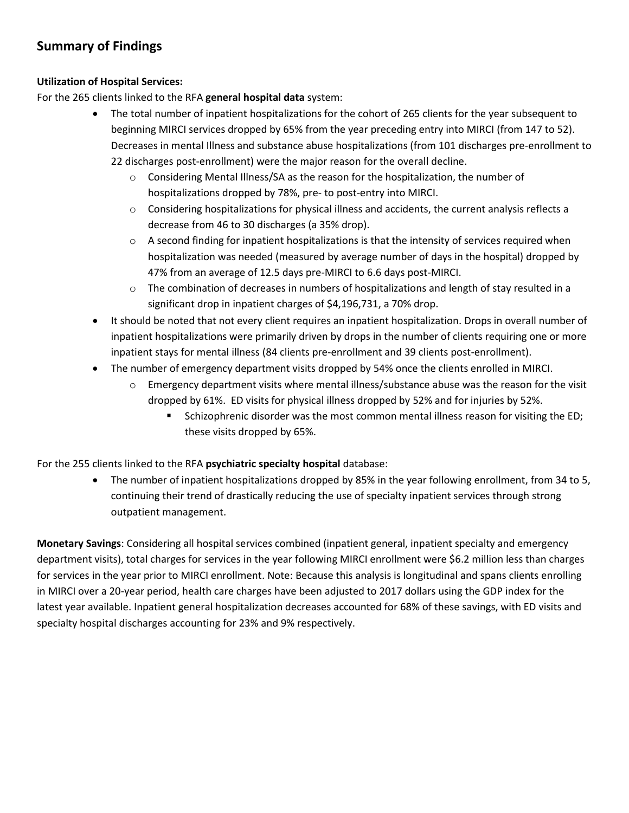### **Summary of Findings**

#### **Utilization of Hospital Services:**

For the 265 clients linked to the RFA **general hospital data** system:

- The total number of inpatient hospitalizations for the cohort of 265 clients for the year subsequent to beginning MIRCI services dropped by 65% from the year preceding entry into MIRCI (from 147 to 52). Decreases in mental Illness and substance abuse hospitalizations (from 101 discharges pre-enrollment to 22 discharges post-enrollment) were the major reason for the overall decline.
	- $\circ$  Considering Mental Illness/SA as the reason for the hospitalization, the number of hospitalizations dropped by 78%, pre- to post-entry into MIRCI.
	- o Considering hospitalizations for physical illness and accidents, the current analysis reflects a decrease from 46 to 30 discharges (a 35% drop).
	- $\circ$  A second finding for inpatient hospitalizations is that the intensity of services required when hospitalization was needed (measured by average number of days in the hospital) dropped by 47% from an average of 12.5 days pre-MIRCI to 6.6 days post-MIRCI.
	- o The combination of decreases in numbers of hospitalizations and length of stay resulted in a significant drop in inpatient charges of \$4,196,731, a 70% drop.
- It should be noted that not every client requires an inpatient hospitalization. Drops in overall number of inpatient hospitalizations were primarily driven by drops in the number of clients requiring one or more inpatient stays for mental illness (84 clients pre-enrollment and 39 clients post-enrollment).
- The number of emergency department visits dropped by 54% once the clients enrolled in MIRCI.
	- o Emergency department visits where mental illness/substance abuse was the reason for the visit dropped by 61%. ED visits for physical illness dropped by 52% and for injuries by 52%.
		- Schizophrenic disorder was the most common mental illness reason for visiting the ED; these visits dropped by 65%.

For the 255 clients linked to the RFA **psychiatric specialty hospital** database:

 The number of inpatient hospitalizations dropped by 85% in the year following enrollment, from 34 to 5, continuing their trend of drastically reducing the use of specialty inpatient services through strong outpatient management.

**Monetary Savings**: Considering all hospital services combined (inpatient general, inpatient specialty and emergency department visits), total charges for services in the year following MIRCI enrollment were \$6.2 million less than charges for services in the year prior to MIRCI enrollment. Note: Because this analysis is longitudinal and spans clients enrolling in MIRCI over a 20-year period, health care charges have been adjusted to 2017 dollars using the GDP index for the latest year available. Inpatient general hospitalization decreases accounted for 68% of these savings, with ED visits and specialty hospital discharges accounting for 23% and 9% respectively.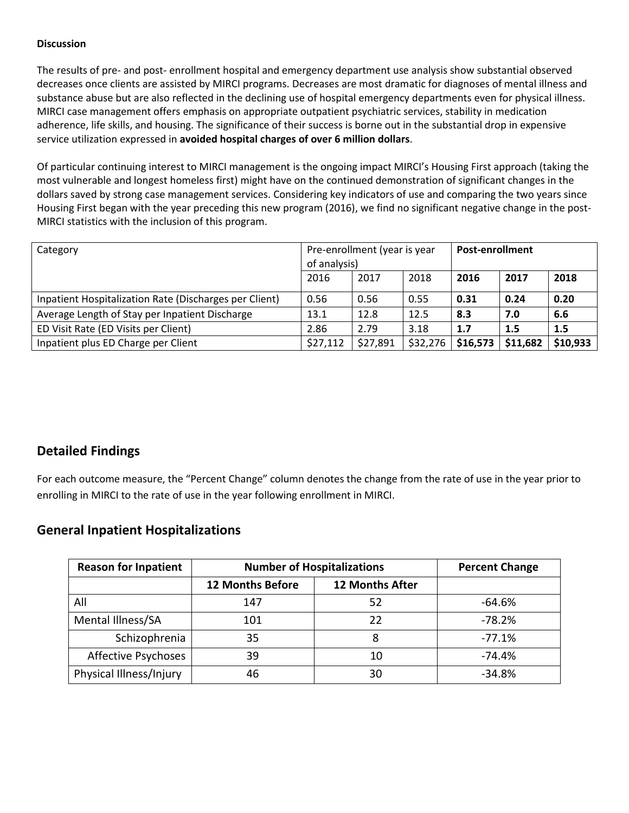#### **Discussion**

The results of pre- and post- enrollment hospital and emergency department use analysis show substantial observed decreases once clients are assisted by MIRCI programs. Decreases are most dramatic for diagnoses of mental illness and substance abuse but are also reflected in the declining use of hospital emergency departments even for physical illness. MIRCI case management offers emphasis on appropriate outpatient psychiatric services, stability in medication adherence, life skills, and housing. The significance of their success is borne out in the substantial drop in expensive service utilization expressed in **avoided hospital charges of over 6 million dollars**.

Of particular continuing interest to MIRCI management is the ongoing impact MIRCI's Housing First approach (taking the most vulnerable and longest homeless first) might have on the continued demonstration of significant changes in the dollars saved by strong case management services. Considering key indicators of use and comparing the two years since Housing First began with the year preceding this new program (2016), we find no significant negative change in the post-MIRCI statistics with the inclusion of this program.

| Category                                               | Pre-enrollment (year is year<br>of analysis) |          |          | <b>Post-enrollment</b> |          |          |
|--------------------------------------------------------|----------------------------------------------|----------|----------|------------------------|----------|----------|
|                                                        | 2016                                         | 2017     | 2018     | 2016                   | 2017     | 2018     |
| Inpatient Hospitalization Rate (Discharges per Client) | 0.56                                         | 0.56     | 0.55     | 0.31                   | 0.24     | 0.20     |
| Average Length of Stay per Inpatient Discharge         | 13.1                                         | 12.8     | 12.5     | 8.3                    | 7.0      | 6.6      |
| ED Visit Rate (ED Visits per Client)                   | 2.86                                         | 2.79     | 3.18     | 1.7                    | 1.5      | 1.5      |
| Inpatient plus ED Charge per Client                    | \$27,112                                     | \$27,891 | \$32,276 | \$16,573               | \$11,682 | \$10,933 |

### **Detailed Findings**

For each outcome measure, the "Percent Change" column denotes the change from the rate of use in the year prior to enrolling in MIRCI to the rate of use in the year following enrollment in MIRCI.

### **General Inpatient Hospitalizations**

| <b>Reason for Inpatient</b> | <b>Number of Hospitalizations</b>                 | <b>Percent Change</b> |          |
|-----------------------------|---------------------------------------------------|-----------------------|----------|
|                             | <b>12 Months After</b><br><b>12 Months Before</b> |                       |          |
| All                         | 147                                               | 52                    | $-64.6%$ |
| Mental Illness/SA           | 101                                               | 22                    | $-78.2%$ |
| Schizophrenia               | 35                                                | 8                     | $-77.1%$ |
| Affective Psychoses         | 39                                                | 10                    | $-74.4%$ |
| Physical Illness/Injury     | 46                                                | 30                    | $-34.8%$ |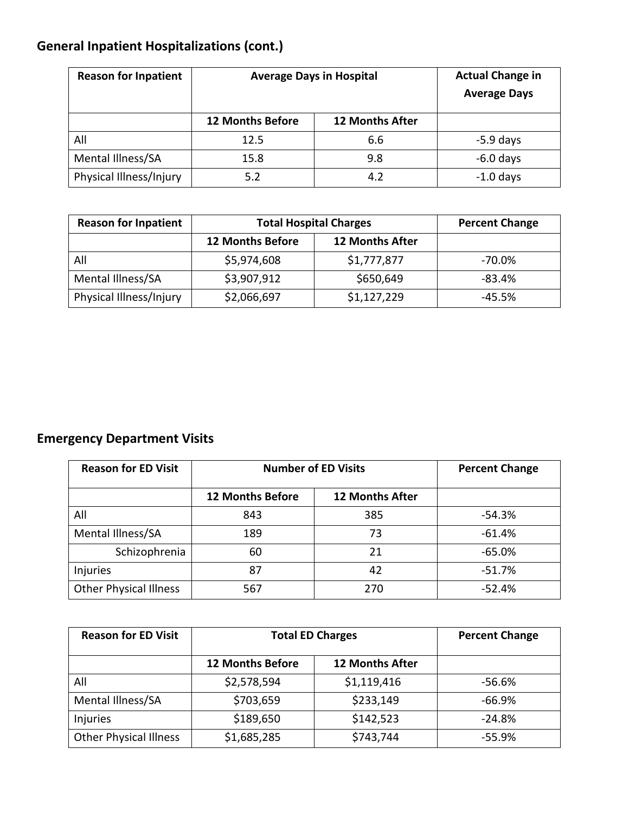# **General Inpatient Hospitalizations (cont.)**

| <b>Reason for Inpatient</b> |                         | <b>Actual Change in</b><br><b>Average Days in Hospital</b><br><b>Average Days</b> |             |
|-----------------------------|-------------------------|-----------------------------------------------------------------------------------|-------------|
|                             | <b>12 Months Before</b> | <b>12 Months After</b>                                                            |             |
| All                         | 12.5                    | 6.6                                                                               | $-5.9$ days |
| Mental Illness/SA           | 15.8                    | 9.8                                                                               | $-6.0$ days |
| Physical Illness/Injury     | 5.2                     | 4.2                                                                               | $-1.0$ days |

| <b>Reason for Inpatient</b> | <b>Total Hospital Charges</b> | <b>Percent Change</b>  |          |
|-----------------------------|-------------------------------|------------------------|----------|
|                             | <b>12 Months Before</b>       | <b>12 Months After</b> |          |
| All                         | \$5,974,608                   | \$1,777,877            | -70.0%   |
| Mental Illness/SA           | \$3,907,912                   | \$650,649              | $-83.4%$ |
| Physical Illness/Injury     | \$2,066,697                   | \$1,127,229            | $-45.5%$ |

# **Emergency Department Visits**

| <b>Reason for ED Visit</b>    | <b>Number of ED Visits</b> |                        | <b>Percent Change</b> |
|-------------------------------|----------------------------|------------------------|-----------------------|
|                               | <b>12 Months Before</b>    | <b>12 Months After</b> |                       |
| All                           | 843                        | 385                    | $-54.3%$              |
| Mental Illness/SA             | 189                        | 73                     | $-61.4%$              |
| Schizophrenia                 | 21<br>60                   |                        | $-65.0%$              |
| Injuries                      | 87                         | 42                     | $-51.7%$              |
| <b>Other Physical Illness</b> | 567                        | 270                    | $-52.4%$              |

| <b>Reason for ED Visit</b>    | <b>Total ED Charges</b>                           | <b>Percent Change</b> |          |
|-------------------------------|---------------------------------------------------|-----------------------|----------|
|                               | <b>12 Months After</b><br><b>12 Months Before</b> |                       |          |
| All                           | \$2,578,594                                       | \$1,119,416           | -56.6%   |
| Mental Illness/SA             | \$703,659                                         | \$233,149             | $-66.9%$ |
| Injuries                      | \$189,650                                         | \$142,523             | $-24.8%$ |
| <b>Other Physical Illness</b> | \$1,685,285                                       | \$743,744             | $-55.9%$ |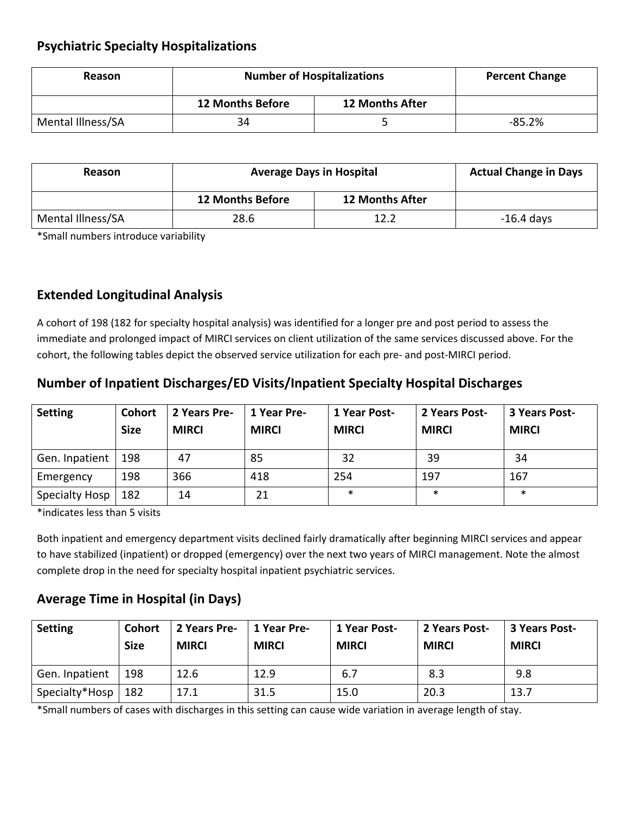### **Psychiatric Specialty Hospitalizations**

| Reason            | <b>Number of Hospitalizations</b>                 | <b>Percent Change</b> |          |
|-------------------|---------------------------------------------------|-----------------------|----------|
|                   | <b>12 Months Before</b><br><b>12 Months After</b> |                       |          |
| Mental Illness/SA | 34                                                |                       | $-85.2%$ |

| Reason            | <b>Average Days in Hospital</b> | <b>Actual Change in Days</b> |              |
|-------------------|---------------------------------|------------------------------|--------------|
|                   | <b>12 Months Before</b>         | <b>12 Months After</b>       |              |
| Mental Illness/SA | 28.6                            | 12.2                         | $-16.4$ days |

\*Small numbers introduce variability

### **Extended Longitudinal Analysis**

A cohort of 198 (182 for specialty hospital analysis) was identified for a longer pre and post period to assess the immediate and prolonged impact of MIRCI services on client utilization of the same services discussed above. For the cohort, the following tables depict the observed service utilization for each pre- and post-MIRCI period.

## **Number of Inpatient Discharges/ED Visits/Inpatient Specialty Hospital Discharges**

| <b>Setting</b> | <b>Cohort</b><br><b>Size</b> | 2 Years Pre-<br><b>MIRCI</b> | 1 Year Pre-<br><b>MIRCI</b> | 1 Year Post-<br><b>MIRCI</b> | 2 Years Post-<br><b>MIRCI</b> | 3 Years Post-<br><b>MIRCI</b> |
|----------------|------------------------------|------------------------------|-----------------------------|------------------------------|-------------------------------|-------------------------------|
| Gen. Inpatient | 198                          | 47                           | 85                          | 32                           | 39                            | 34                            |
| Emergency      | 198                          | 366                          | 418                         | 254                          | 197                           | 167                           |
| Specialty Hosp | 182                          | 14                           | 21                          | $\ast$                       | $\ast$                        | $\ast$                        |

\*indicates less than 5 visits

Both inpatient and emergency department visits declined fairly dramatically after beginning MIRCI services and appear to have stabilized (inpatient) or dropped (emergency) over the next two years of MIRCI management. Note the almost complete drop in the need for specialty hospital inpatient psychiatric services.

## **Average Time in Hospital (in Days)**

| <b>Setting</b>       | <b>Cohort</b><br><b>Size</b> | 2 Years Pre-<br><b>MIRCI</b> | 1 Year Pre-<br><b>MIRCI</b> | 1 Year Post-<br><b>MIRCI</b> | 2 Years Post-<br><b>MIRCI</b> | 3 Years Post-<br><b>MIRCI</b> |
|----------------------|------------------------------|------------------------------|-----------------------------|------------------------------|-------------------------------|-------------------------------|
| Gen. Inpatient       | 198                          | 12.6                         | 12.9                        | 6.7                          | 8.3                           | 9.8                           |
| Specialty*Hosp   182 |                              | 17.1                         | 31.5                        | 15.0                         | 20.3                          | 13.7                          |

\*Small numbers of cases with discharges in this setting can cause wide variation in average length of stay.